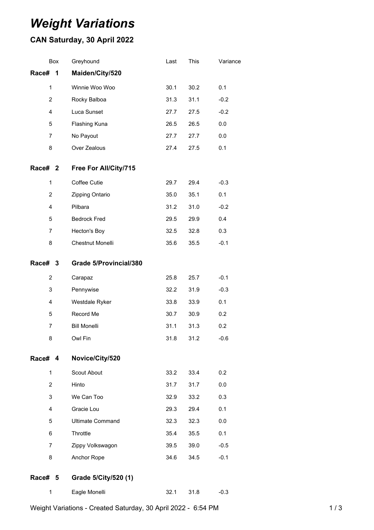# *Weight Variations*

## **CAN Saturday, 30 April 2022**

|                     | Box            | Greyhound                     | Last | This | Variance |
|---------------------|----------------|-------------------------------|------|------|----------|
| Race#               | 1              | Maiden/City/520               |      |      |          |
|                     | 1              | Winnie Woo Woo                | 30.1 | 30.2 | 0.1      |
| $\overline{2}$<br>4 |                | Rocky Balboa                  | 31.3 | 31.1 | $-0.2$   |
|                     |                | Luca Sunset                   | 27.7 | 27.5 | $-0.2$   |
|                     | 5              | Flashing Kuna                 | 26.5 | 26.5 | 0.0      |
|                     | 7              | No Payout                     | 27.7 | 27.7 | 0.0      |
|                     | 8              | Over Zealous                  | 27.4 | 27.5 | 0.1      |
| Race# <sub>2</sub>  |                | Free For All/City/715         |      |      |          |
|                     | $\mathbf{1}$   | Coffee Cutie                  | 29.7 | 29.4 | $-0.3$   |
|                     | $\overline{2}$ | Zipping Ontario               | 35.0 | 35.1 | 0.1      |
|                     | 4              | Pilbara                       | 31.2 | 31.0 | $-0.2$   |
|                     | 5              | <b>Bedrock Fred</b>           | 29.5 | 29.9 | 0.4      |
|                     | $\overline{7}$ | Hecton's Boy                  | 32.5 | 32.8 | 0.3      |
|                     | 8              | Chestnut Monelli              | 35.6 | 35.5 | $-0.1$   |
| Race#               | 3              | <b>Grade 5/Provincial/380</b> |      |      |          |
|                     | 2              | Carapaz                       | 25.8 | 25.7 | $-0.1$   |
|                     | 3              | Pennywise                     | 32.2 | 31.9 | $-0.3$   |
|                     | 4              | Westdale Ryker                | 33.8 | 33.9 | 0.1      |
|                     | 5              | Record Me                     | 30.7 | 30.9 | 0.2      |
|                     | $\overline{7}$ | <b>Bill Monelli</b>           | 31.1 | 31.3 | 0.2      |
|                     | 8              | Owl Fin                       | 31.8 | 31.2 | $-0.6$   |
| Race# 4             |                | Novice/City/520               |      |      |          |
|                     | 1              | Scout About                   | 33.2 | 33.4 | 0.2      |
|                     | $\overline{2}$ | Hinto                         | 31.7 | 31.7 | 0.0      |
|                     | 3              | We Can Too                    | 32.9 | 33.2 | 0.3      |
|                     | 4              | Gracie Lou                    | 29.3 | 29.4 | 0.1      |
| 5                   |                | <b>Ultimate Command</b>       | 32.3 | 32.3 | 0.0      |
| 6                   |                | Throttle                      | 35.4 | 35.5 | 0.1      |
|                     | 7              | Zippy Volkswagon              | 39.5 | 39.0 | $-0.5$   |
|                     | 8              | Anchor Rope                   | 34.6 | 34.5 | $-0.1$   |
| Race# 5             |                | Grade 5/City/520 (1)          |      |      |          |
|                     | 1              | Eagle Monelli                 | 32.1 | 31.8 | $-0.3$   |

Weight Variations - Created Saturday, 30 April 2022 - 6:54 PM 1 / 3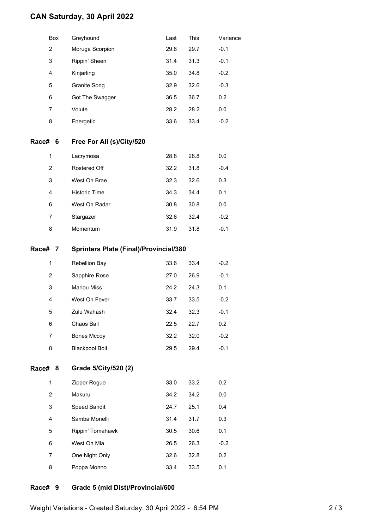### **CAN Saturday, 30 April 2022**

|         | Box            | Greyhound                                     | Last | This | Variance |  |  |  |
|---------|----------------|-----------------------------------------------|------|------|----------|--|--|--|
|         | 2              | Moruga Scorpion                               | 29.8 | 29.7 | $-0.1$   |  |  |  |
|         | 3              | Rippin' Sheen                                 | 31.4 | 31.3 | $-0.1$   |  |  |  |
|         | 4              | Kinjarling                                    | 35.0 | 34.8 | $-0.2$   |  |  |  |
|         | 5              | Granite Song                                  | 32.9 | 32.6 | $-0.3$   |  |  |  |
|         | 6              | Got The Swagger                               | 36.5 | 36.7 | 0.2      |  |  |  |
|         | $\overline{7}$ | Volute                                        | 28.2 | 28.2 | 0.0      |  |  |  |
|         | 8              | Energetic                                     | 33.6 | 33.4 | $-0.2$   |  |  |  |
| Race# 6 |                | Free For All (s)/City/520                     |      |      |          |  |  |  |
|         | 1              | Lacrymosa                                     | 28.8 | 28.8 | 0.0      |  |  |  |
|         | 2              | Rostered Off                                  | 32.2 | 31.8 | $-0.4$   |  |  |  |
|         | 3              | West On Brae                                  | 32.3 | 32.6 | 0.3      |  |  |  |
|         | 4              | Historic Time                                 | 34.3 | 34.4 | 0.1      |  |  |  |
|         | 6              | West On Radar                                 | 30.8 | 30.8 | 0.0      |  |  |  |
|         | 7              | Stargazer                                     | 32.6 | 32.4 | $-0.2$   |  |  |  |
|         | 8              | Momentum                                      | 31.9 | 31.8 | $-0.1$   |  |  |  |
| Race# 7 |                | <b>Sprinters Plate (Final)/Provincial/380</b> |      |      |          |  |  |  |
|         | 1              | Rebellion Bay                                 | 33.6 | 33.4 | $-0.2$   |  |  |  |
|         | 2              | Sapphire Rose                                 | 27.0 | 26.9 | $-0.1$   |  |  |  |
|         | 3              | <b>Marlou Miss</b>                            | 24.2 | 24.3 | 0.1      |  |  |  |
|         | 4              | West On Fever                                 | 33.7 | 33.5 | $-0.2$   |  |  |  |
|         | 5              | Zulu Wahash                                   | 32.4 | 32.3 | $-0.1$   |  |  |  |
|         | 6              | Chaos Ball                                    | 22.5 | 22.7 | 0.2      |  |  |  |
|         | 7              | Bones Mccoy                                   | 32.2 | 32.0 | $-0.2$   |  |  |  |
|         | 8              | <b>Blackpool Bolt</b>                         | 29.5 | 29.4 | $-0.1$   |  |  |  |
| Race# 8 |                | Grade 5/City/520 (2)                          |      |      |          |  |  |  |
|         | 1              | Zipper Rogue                                  | 33.0 | 33.2 | 0.2      |  |  |  |
|         | $\overline{2}$ | Makuru                                        | 34.2 | 34.2 | 0.0      |  |  |  |
|         | 3              | Speed Bandit                                  | 24.7 | 25.1 | 0.4      |  |  |  |
|         | 4              | Samba Monelli                                 | 31.4 | 31.7 | 0.3      |  |  |  |
|         | 5              | Rippin' Tomahawk                              | 30.5 | 30.6 | 0.1      |  |  |  |
|         | 6              | West On Mia                                   | 26.5 | 26.3 | $-0.2$   |  |  |  |
|         | 7              | One Night Only                                | 32.6 | 32.8 | 0.2      |  |  |  |
|         | 8              | Poppa Monno                                   | 33.4 | 33.5 | 0.1      |  |  |  |
|         |                |                                               |      |      |          |  |  |  |

### **Race# 9 Grade 5 (mid Dist)/Provincial/600**